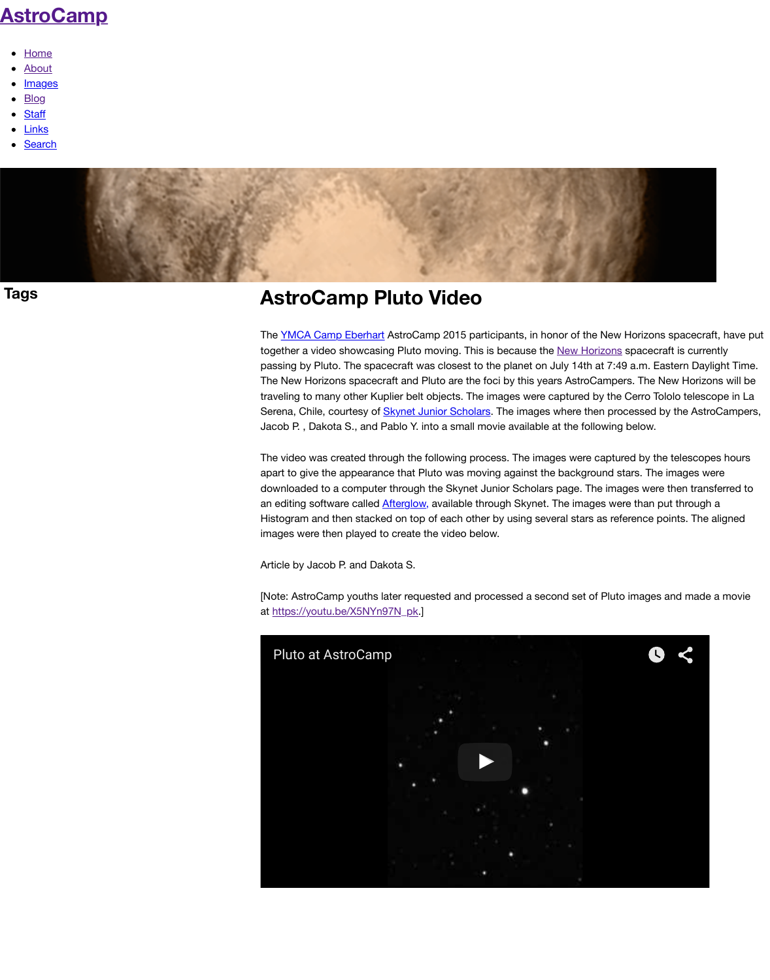together a video showcasing Pluto moving. This is passing by Pluto. The spacecraft was closest to t The New Horizons spacecraft and Pluto are the fo traveling to many other Kuplier belt objects. The image Serena, Chile, courtesy of **Skynet Junior Scholars.** Jacob P., Dakota S., and Pablo Y. into a small mo

The video was created through the following proc apart to give the appearance that Pluto was moving downloaded to a computer through the Skynet Junior Scholars page. The image of the interaction of the interaction of the interaction of the interaction of the interaction of the interaction of the interaction of the intera an editing software called **Afterglow**, available through Histogram and then stacked on top of each other images were then played to create the video below.

Article by Jacob P. and Dakota S.

[Note: AstroCamp youths later requested and pro at https://youtu.be/X5NYn97N\_pk.]